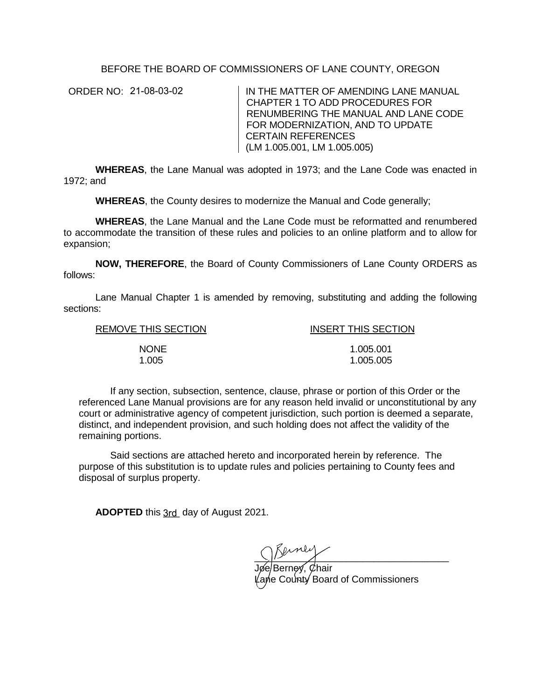BEFORE THE BOARD OF COMMISSIONERS OF LANE COUNTY, OREGON

ORDER NO: 21-08-03-02

IN THE MATTER OF AMENDING LANE MANUAL CHAPTER 1 TO ADD PROCEDURES FOR RENUMBERING THE MANUAL AND LANE CODE FOR MODERNIZATION, AND TO UPDATE CERTAIN REFERENCES (LM 1.005.001, LM 1.005.005)

**WHEREAS**, the Lane Manual was adopted in 1973; and the Lane Code was enacted in 1972; and

**WHEREAS**, the County desires to modernize the Manual and Code generally;

**WHEREAS**, the Lane Manual and the Lane Code must be reformatted and renumbered to accommodate the transition of these rules and policies to an online platform and to allow for expansion;

**NOW, THEREFORE**, the Board of County Commissioners of Lane County ORDERS as follows:

Lane Manual Chapter 1 is amended by removing, substituting and adding the following sections:

REMOVE THIS SECTION INSERT THIS SECTION NONE 1.005.001 1.005 1.005.005

If any section, subsection, sentence, clause, phrase or portion of this Order or the referenced Lane Manual provisions are for any reason held invalid or unconstitutional by any court or administrative agency of competent jurisdiction, such portion is deemed a separate, distinct, and independent provision, and such holding does not affect the validity of the remaining portions.

Said sections are attached hereto and incorporated herein by reference. The purpose of this substitution is to update rules and policies pertaining to County fees and disposal of surplus property.

**ADOPTED** this 3rd\_ day of August 2021.

 $\frac{1}{2}$   $\frac{1}{2}$   $\frac{1}{2}$   $\frac{1}{2}$   $\frac{1}{2}$   $\frac{1}{2}$   $\frac{1}{2}$   $\frac{1}{2}$   $\frac{1}{2}$   $\frac{1}{2}$   $\frac{1}{2}$   $\frac{1}{2}$   $\frac{1}{2}$   $\frac{1}{2}$   $\frac{1}{2}$   $\frac{1}{2}$   $\frac{1}{2}$   $\frac{1}{2}$   $\frac{1}{2}$   $\frac{1}{2}$   $\frac{1}{2}$   $\frac{1}{2}$ 

Jøe/Berney, Øhair Lane County Board of Commissioners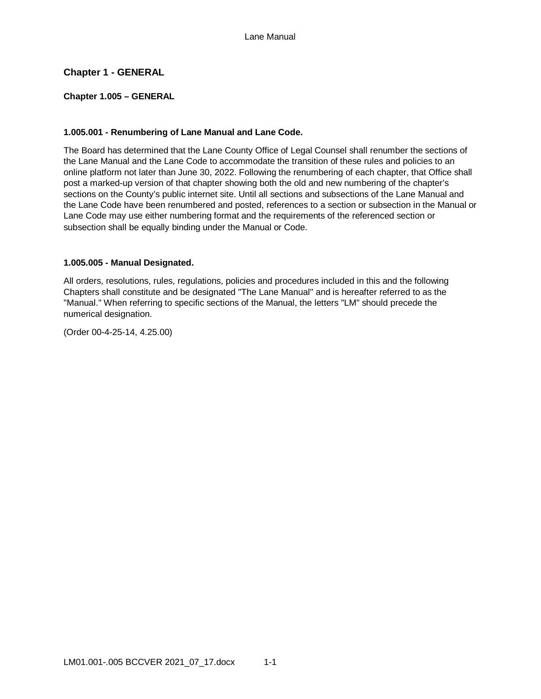# **Chapter 1 - GENERAL**

### **Chapter 1.005 – GENERAL**

# **1.005.001 - Renumbering of Lane Manual and Lane Code.**

The Board has determined that the Lane County Office of Legal Counsel shall renumber the sections of the Lane Manual and the Lane Code to accommodate the transition of these rules and policies to an online platform not later than June 30, 2022. Following the renumbering of each chapter, that Office shall post a marked-up version of that chapter showing both the old and new numbering of the chapter's sections on the County's public internet site. Until all sections and subsections of the Lane Manual and the Lane Code have been renumbered and posted, references to a section or subsection in the Manual or Lane Code may use either numbering format and the requirements of the referenced section or subsection shall be equally binding under the Manual or Code.

### **1.005.005 - Manual Designated.**

All orders, resolutions, rules, regulations, policies and procedures included in this and the following Chapters shall constitute and be designated "The Lane Manual" and is hereafter referred to as the "Manual." When referring to specific sections of the Manual, the letters "LM" should precede the numerical designation.

(Order 00-4-25-14, 4.25.00)